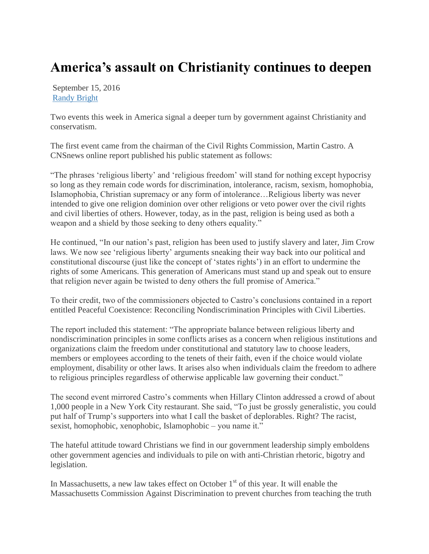## **America's assault on Christianity continues to deepen**

September 15, 2016 [Randy Bright](http://tulsabeacon.com/author/randy-bright/)

Two events this week in America signal a deeper turn by government against Christianity and conservatism.

The first event came from the chairman of the Civil Rights Commission, Martin Castro. A CNSnews online report published his public statement as follows:

"The phrases "religious liberty" and "religious freedom" will stand for nothing except hypocrisy so long as they remain code words for discrimination, intolerance, racism, sexism, homophobia, Islamophobia, Christian supremacy or any form of intolerance…Religious liberty was never intended to give one religion dominion over other religions or veto power over the civil rights and civil liberties of others. However, today, as in the past, religion is being used as both a weapon and a shield by those seeking to deny others equality."

He continued, "In our nation"s past, religion has been used to justify slavery and later, Jim Crow laws. We now see "religious liberty" arguments sneaking their way back into our political and constitutional discourse (just like the concept of "states rights") in an effort to undermine the rights of some Americans. This generation of Americans must stand up and speak out to ensure that religion never again be twisted to deny others the full promise of America."

To their credit, two of the commissioners objected to Castro"s conclusions contained in a report entitled Peaceful Coexistence: Reconciling Nondiscrimination Principles with Civil Liberties.

The report included this statement: "The appropriate balance between religious liberty and nondiscrimination principles in some conflicts arises as a concern when religious institutions and organizations claim the freedom under constitutional and statutory law to choose leaders, members or employees according to the tenets of their faith, even if the choice would violate employment, disability or other laws. It arises also when individuals claim the freedom to adhere to religious principles regardless of otherwise applicable law governing their conduct."

The second event mirrored Castro"s comments when Hillary Clinton addressed a crowd of about 1,000 people in a New York City restaurant. She said, "To just be grossly generalistic, you could put half of Trump"s supporters into what I call the basket of deplorables. Right? The racist, sexist, homophobic, xenophobic, Islamophobic – you name it."

The hateful attitude toward Christians we find in our government leadership simply emboldens other government agencies and individuals to pile on with anti-Christian rhetoric, bigotry and legislation.

In Massachusetts, a new law takes effect on October  $1<sup>st</sup>$  of this year. It will enable the Massachusetts Commission Against Discrimination to prevent churches from teaching the truth